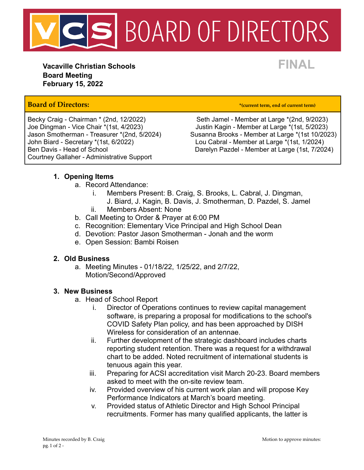

**Vacaville Christian Schools FINAL Board Meeting February 15, 2022**

# **Board of Directors: \*(current term, end of current term)**

John Biard - Secretary \*(1st, 6/2022) Lou Cabral - Member at Large \*(1st, 1/2024) Courtney Gallaher - Administrative Support

Becky Craig - Chairman \* (2nd, 12/2022) Seth Jamel - Member at Large \* (2nd, 9/2023) Joe Dingman - Vice Chair \*(1st, 4/2023) Justin Kagin - Member at Large \*(1st, 5/2023) Susanna Brooks - Member at Large \*(1st 10/2023) Ben Davis - Head of School **Darelyn Pazdel - Member at Large (1st, 7/2024)** 

## **1. Opening Items**

- a. Record Attendance:
	- i. Members Present: B. Craig, S. Brooks, L. Cabral, J. Dingman,
	- J. Biard, J. Kagin, B. Davis, J. Smotherman, D. Pazdel, S. Jamel ii. Members Absent: None
- b. Call Meeting to Order & Prayer at 6:00 PM
- c. Recognition: Elementary Vice Principal and High School Dean
- d. Devotion: Pastor Jason Smotherman Jonah and the worm
- e. Open Session: Bambi Roisen

#### **2. Old Business**

a. Meeting Minutes - 01/18/22, 1/25/22, and 2/7/22, Motion/Second/Approved

#### **3. New Business**

- a. Head of School Report
	- i. Director of Operations continues to review capital management software, is preparing a proposal for modifications to the school's COVID Safety Plan policy, and has been approached by DISH Wireless for consideration of an antennae.
	- ii. Further development of the strategic dashboard includes charts reporting student retention. There was a request for a withdrawal chart to be added. Noted recruitment of international students is tenuous again this year.
	- iii. Preparing for ACSI accreditation visit March 20-23. Board members asked to meet with the on-site review team.
	- iv. Provided overview of his current work plan and will propose Key Performance Indicators at March's board meeting.
	- v. Provided status of Athletic Director and High School Principal recruitments. Former has many qualified applicants, the latter is